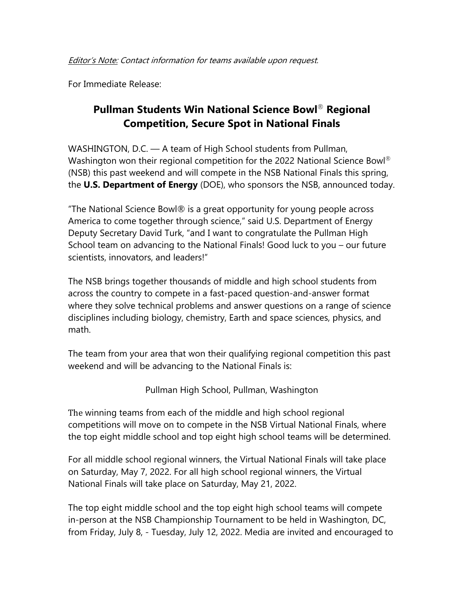For Immediate Release:

## **Pullman Students Win National Science Bowl**® **Regional Competition, Secure Spot in National Finals**

WASHINGTON, D.C. — A team of High School students from Pullman, Washington won their regional competition for the 2022 National Science Bowl<sup>®</sup> (NSB) this past weekend and will compete in the NSB National Finals this spring, the **U.S. Department of Energy** (DOE), who sponsors the NSB, announced today.

"The National Science Bowl® is a great opportunity for young people across America to come together through science," said U.S. Department of Energy Deputy Secretary David Turk, "and I want to congratulate the Pullman High School team on advancing to the National Finals! Good luck to you – our future scientists, innovators, and leaders!"

The NSB brings together thousands of middle and high school students from across the country to compete in a fast-paced question-and-answer format where they solve technical problems and answer questions on a range of science disciplines including biology, chemistry, Earth and space sciences, physics, and math.

The team from your area that won their qualifying regional competition this past weekend and will be advancing to the National Finals is:

Pullman High School, Pullman, Washington

The winning teams from each of the middle and high school regional competitions will move on to compete in the NSB Virtual National Finals, where the top eight middle school and top eight high school teams will be determined.

For all middle school regional winners, the Virtual National Finals will take place on Saturday, May 7, 2022. For all high school regional winners, the Virtual National Finals will take place on Saturday, May 21, 2022.

The top eight middle school and the top eight high school teams will compete in-person at the NSB Championship Tournament to be held in Washington, DC, from Friday, July 8, - Tuesday, July 12, 2022. Media are invited and encouraged to